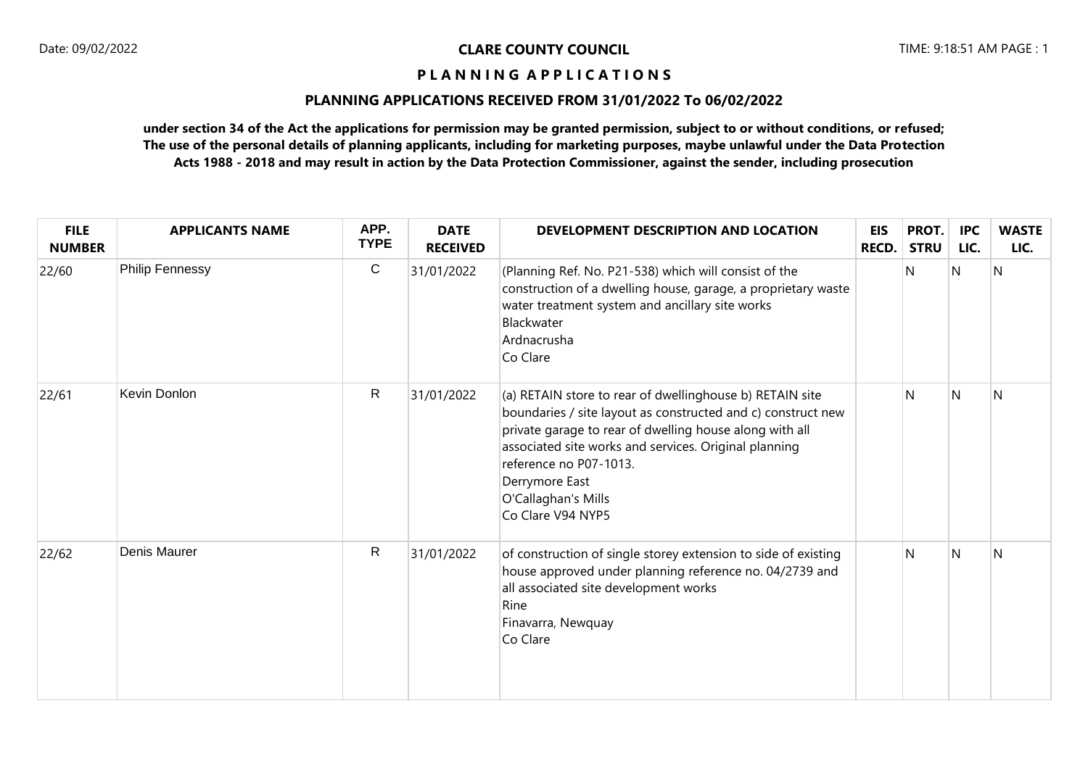# **PLANNING APPLICATIONS RECEIVED FROM 31/01/2022 To 06/02/2022**

| <b>FILE</b><br><b>NUMBER</b> | <b>APPLICANTS NAME</b> | APP.<br><b>TYPE</b> | <b>DATE</b><br><b>RECEIVED</b> | DEVELOPMENT DESCRIPTION AND LOCATION                                                                                                                                                                                                                                                                                                 | <b>EIS</b><br>RECD. | PROT.<br><b>STRU</b> | <b>IPC</b><br>LIC. | <b>WASTE</b><br>LIC. |
|------------------------------|------------------------|---------------------|--------------------------------|--------------------------------------------------------------------------------------------------------------------------------------------------------------------------------------------------------------------------------------------------------------------------------------------------------------------------------------|---------------------|----------------------|--------------------|----------------------|
| 22/60                        | <b>Philip Fennessy</b> | $\mathsf{C}$        | 31/01/2022                     | (Planning Ref. No. P21-538) which will consist of the<br>construction of a dwelling house, garage, a proprietary waste<br>water treatment system and ancillary site works<br>Blackwater<br>Ardnacrusha<br>Co Clare                                                                                                                   |                     | N                    | $\overline{N}$     | N                    |
| 22/61                        | Kevin Donlon           | $\mathsf{R}$        | 31/01/2022                     | (a) RETAIN store to rear of dwellinghouse b) RETAIN site<br>boundaries / site layout as constructed and c) construct new<br>private garage to rear of dwelling house along with all<br>associated site works and services. Original planning<br>reference no P07-1013.<br>Derrymore East<br>O'Callaghan's Mills<br>Co Clare V94 NYP5 |                     | N                    | N                  | N                    |
| 22/62                        | Denis Maurer           | $\mathsf{R}$        | 31/01/2022                     | of construction of single storey extension to side of existing<br>house approved under planning reference no. 04/2739 and<br>all associated site development works<br>Rine<br>Finavarra, Newquay<br>Co Clare                                                                                                                         |                     | N                    | N                  | $\mathsf{N}$         |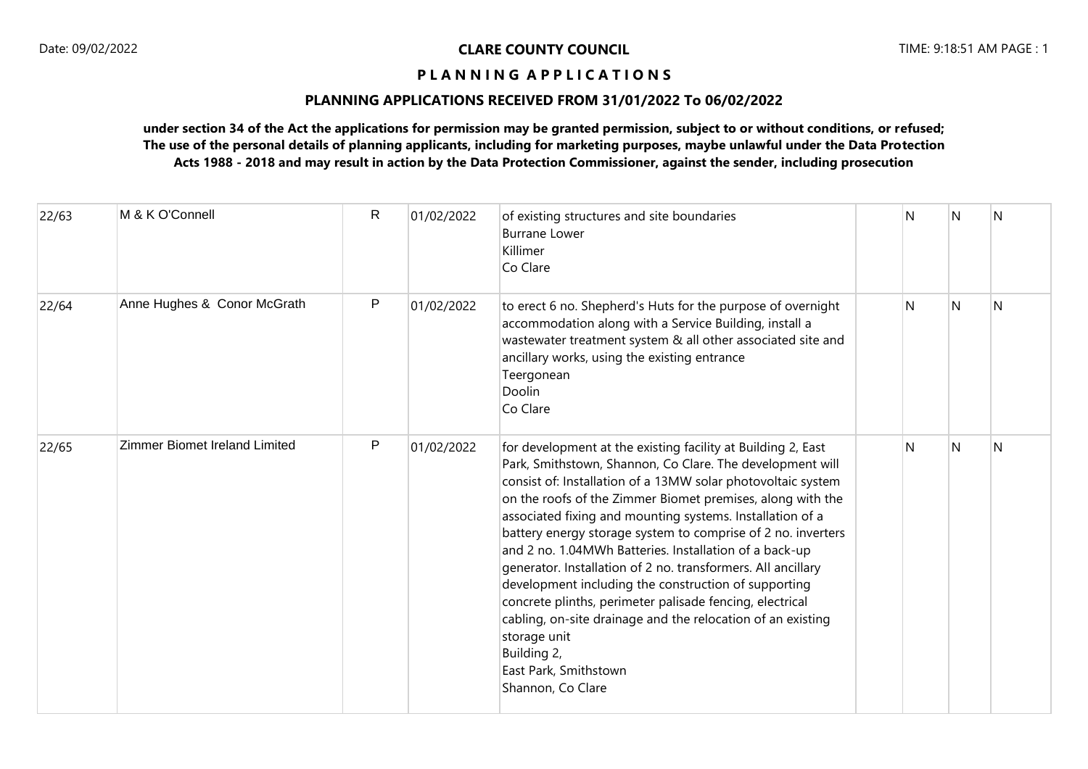# **PLANNING APPLICATIONS RECEIVED FROM 31/01/2022 To 06/02/2022**

| 22/63 | M & K O'Connell               | R | 01/02/2022 | of existing structures and site boundaries<br><b>Burrane Lower</b><br>Killimer<br>Co Clare                                                                                                                                                                                                                                                                                                                                                                                                                                                                                                                                                                                                                                                                                     | N | N | N |
|-------|-------------------------------|---|------------|--------------------------------------------------------------------------------------------------------------------------------------------------------------------------------------------------------------------------------------------------------------------------------------------------------------------------------------------------------------------------------------------------------------------------------------------------------------------------------------------------------------------------------------------------------------------------------------------------------------------------------------------------------------------------------------------------------------------------------------------------------------------------------|---|---|---|
| 22/64 | Anne Hughes & Conor McGrath   | P | 01/02/2022 | to erect 6 no. Shepherd's Huts for the purpose of overnight<br>accommodation along with a Service Building, install a<br>wastewater treatment system & all other associated site and<br>ancillary works, using the existing entrance<br>Teergonean<br>Doolin<br>Co Clare                                                                                                                                                                                                                                                                                                                                                                                                                                                                                                       | N | N | N |
| 22/65 | Zimmer Biomet Ireland Limited | P | 01/02/2022 | for development at the existing facility at Building 2, East<br>Park, Smithstown, Shannon, Co Clare. The development will<br>consist of: Installation of a 13MW solar photovoltaic system<br>on the roofs of the Zimmer Biomet premises, along with the<br>associated fixing and mounting systems. Installation of a<br>battery energy storage system to comprise of 2 no. inverters<br>and 2 no. 1.04MWh Batteries. Installation of a back-up<br>generator. Installation of 2 no. transformers. All ancillary<br>development including the construction of supporting<br>concrete plinths, perimeter palisade fencing, electrical<br>cabling, on-site drainage and the relocation of an existing<br>storage unit<br>Building 2,<br>East Park, Smithstown<br>Shannon, Co Clare | N | N | N |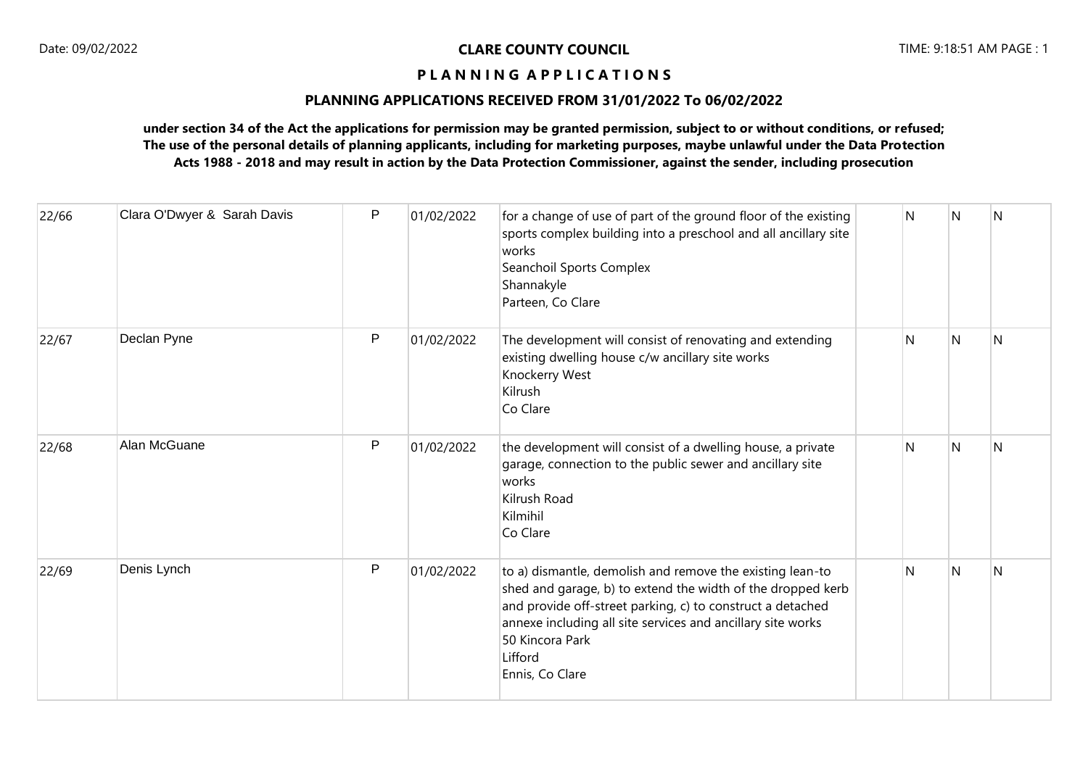# **PLANNING APPLICATIONS RECEIVED FROM 31/01/2022 To 06/02/2022**

| 22/66 | Clara O'Dwyer & Sarah Davis | P | 01/02/2022 | for a change of use of part of the ground floor of the existing<br>sports complex building into a preschool and all ancillary site<br>works<br>Seanchoil Sports Complex<br>Shannakyle<br>Parteen, Co Clare                                                                                             | N | <sup>N</sup>   | N |
|-------|-----------------------------|---|------------|--------------------------------------------------------------------------------------------------------------------------------------------------------------------------------------------------------------------------------------------------------------------------------------------------------|---|----------------|---|
| 22/67 | Declan Pyne                 | P | 01/02/2022 | The development will consist of renovating and extending<br>existing dwelling house c/w ancillary site works<br>Knockerry West<br>Kilrush<br>Co Clare                                                                                                                                                  | N | N              | N |
| 22/68 | Alan McGuane                | P | 01/02/2022 | the development will consist of a dwelling house, a private<br>garage, connection to the public sewer and ancillary site<br>works<br>Kilrush Road<br>Kilmihil<br>Co Clare                                                                                                                              | N | N              | N |
| 22/69 | Denis Lynch                 | P | 01/02/2022 | to a) dismantle, demolish and remove the existing lean-to<br>shed and garage, b) to extend the width of the dropped kerb<br>and provide off-street parking, c) to construct a detached<br>annexe including all site services and ancillary site works<br>50 Kincora Park<br>Lifford<br>Ennis, Co Clare | N | $\overline{N}$ | N |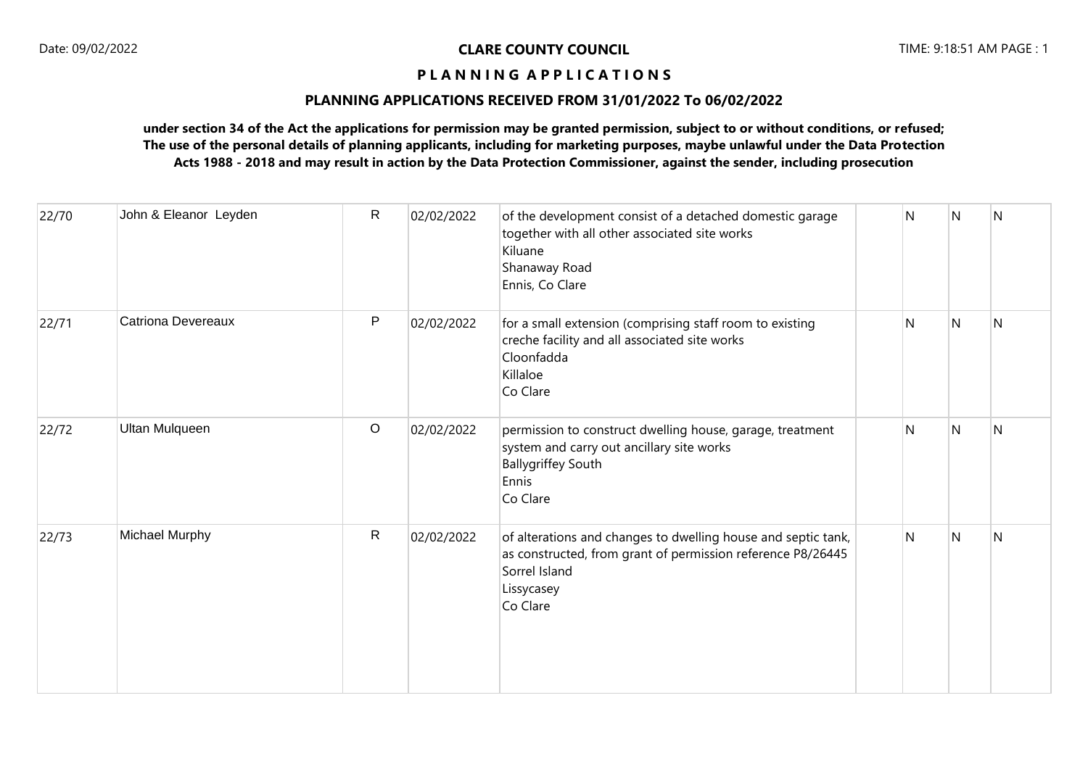# **PLANNING APPLICATIONS RECEIVED FROM 31/01/2022 To 06/02/2022**

| 22/70 | John & Eleanor Leyden     | $\mathsf{R}$ | 02/02/2022 | of the development consist of a detached domestic garage<br>together with all other associated site works<br>Kiluane<br>Shanaway Road<br>Ennis, Co Clare                | N | N | N |
|-------|---------------------------|--------------|------------|-------------------------------------------------------------------------------------------------------------------------------------------------------------------------|---|---|---|
| 22/71 | <b>Catriona Devereaux</b> | P            | 02/02/2022 | for a small extension (comprising staff room to existing<br>creche facility and all associated site works<br>Cloonfadda<br>Killaloe<br>Co Clare                         | N | N | N |
| 22/72 | <b>Ultan Mulqueen</b>     | $\circ$      | 02/02/2022 | permission to construct dwelling house, garage, treatment<br>system and carry out ancillary site works<br><b>Ballygriffey South</b><br>Ennis<br>Co Clare                | N | N | N |
| 22/73 | Michael Murphy            | $\mathsf{R}$ | 02/02/2022 | of alterations and changes to dwelling house and septic tank,<br>as constructed, from grant of permission reference P8/26445<br>Sorrel Island<br>Lissycasey<br>Co Clare | N | N | N |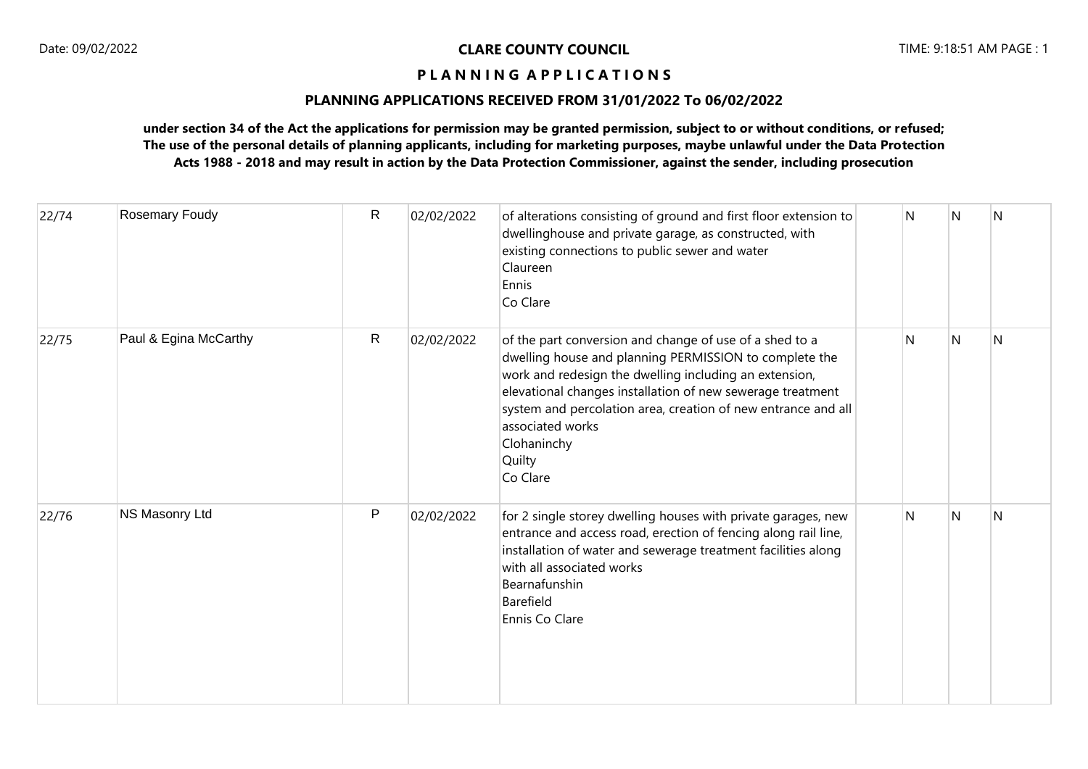# **PLANNING APPLICATIONS RECEIVED FROM 31/01/2022 To 06/02/2022**

| 22/74 | Rosemary Foudy        | R | 02/02/2022 | of alterations consisting of ground and first floor extension to<br>dwellinghouse and private garage, as constructed, with<br>existing connections to public sewer and water<br>Claureen<br>Ennis<br>Co Clare                                                                                                                                                       | N | N            | N            |
|-------|-----------------------|---|------------|---------------------------------------------------------------------------------------------------------------------------------------------------------------------------------------------------------------------------------------------------------------------------------------------------------------------------------------------------------------------|---|--------------|--------------|
| 22/75 | Paul & Egina McCarthy | R | 02/02/2022 | of the part conversion and change of use of a shed to a<br>dwelling house and planning PERMISSION to complete the<br>work and redesign the dwelling including an extension,<br>elevational changes installation of new sewerage treatment<br>system and percolation area, creation of new entrance and all<br>associated works<br>Clohaninchy<br>Quilty<br>Co Clare | N | $\mathsf{N}$ | N            |
| 22/76 | NS Masonry Ltd        | P | 02/02/2022 | for 2 single storey dwelling houses with private garages, new<br>entrance and access road, erection of fencing along rail line,<br>installation of water and sewerage treatment facilities along<br>with all associated works<br>Bearnafunshin<br>Barefield<br>Ennis Co Clare                                                                                       | N | $\mathsf{N}$ | $\mathsf{N}$ |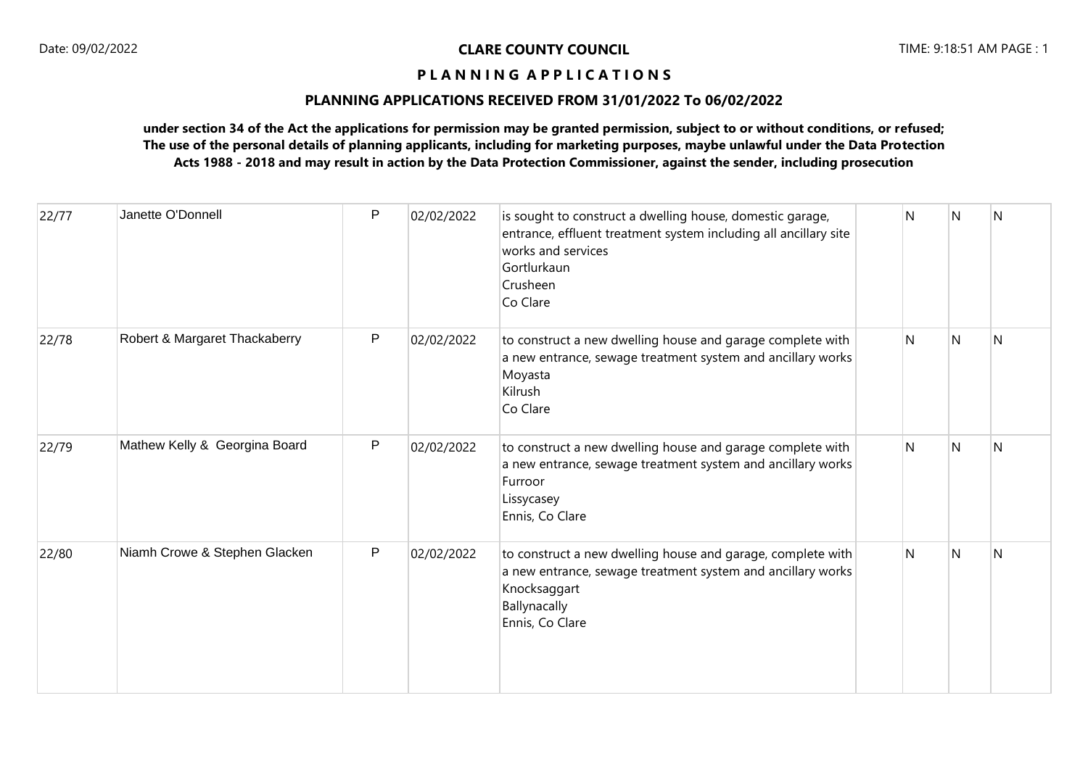# **PLANNING APPLICATIONS RECEIVED FROM 31/01/2022 To 06/02/2022**

| 22/77 | Janette O'Donnell             | P | 02/02/2022 | is sought to construct a dwelling house, domestic garage,<br>entrance, effluent treatment system including all ancillary site<br>works and services<br>Gortlurkaun<br>Crusheen<br>Co Clare | N | N | N |
|-------|-------------------------------|---|------------|--------------------------------------------------------------------------------------------------------------------------------------------------------------------------------------------|---|---|---|
| 22/78 | Robert & Margaret Thackaberry | P | 02/02/2022 | to construct a new dwelling house and garage complete with<br>a new entrance, sewage treatment system and ancillary works<br>Moyasta<br>Kilrush<br>Co Clare                                | N | N | N |
| 22/79 | Mathew Kelly & Georgina Board | P | 02/02/2022 | to construct a new dwelling house and garage complete with<br>a new entrance, sewage treatment system and ancillary works<br>Furroor<br>Lissycasey<br>Ennis, Co Clare                      | N | N | N |
| 22/80 | Niamh Crowe & Stephen Glacken | P | 02/02/2022 | to construct a new dwelling house and garage, complete with<br>a new entrance, sewage treatment system and ancillary works<br>Knocksaggart<br>Ballynacally<br>Ennis, Co Clare              | N | N | N |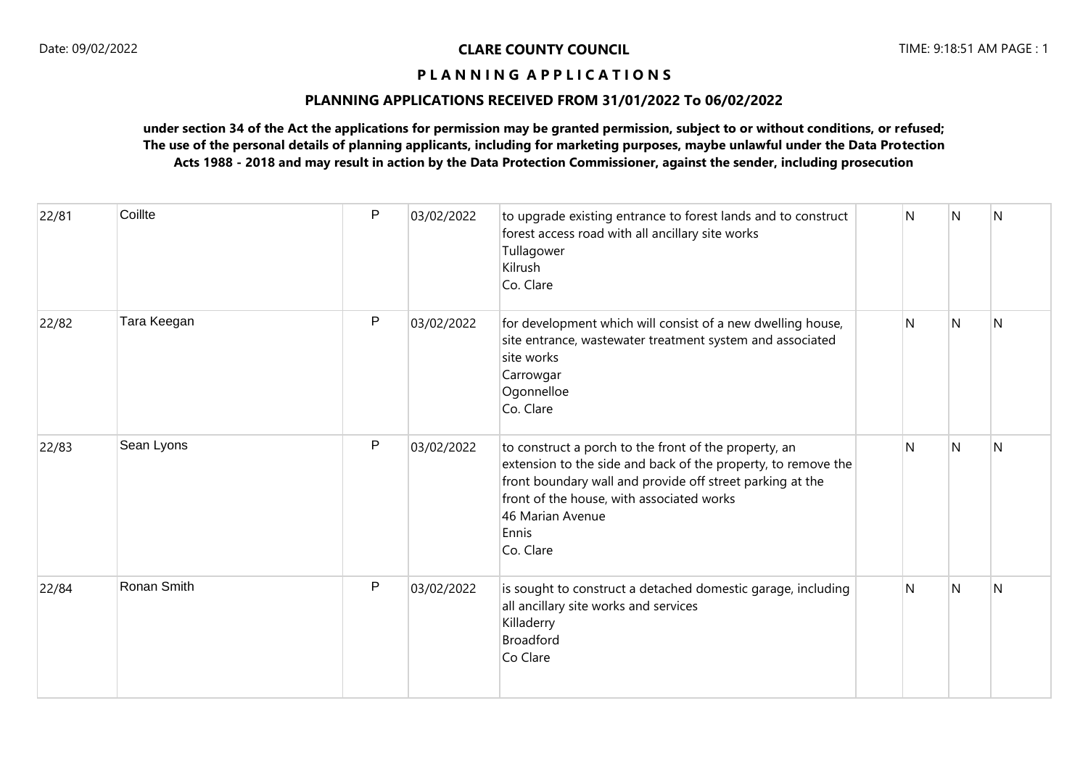# **PLANNING APPLICATIONS RECEIVED FROM 31/01/2022 To 06/02/2022**

| 22/81 | Coillte     | P | 03/02/2022 | to upgrade existing entrance to forest lands and to construct<br>forest access road with all ancillary site works<br>Tullagower<br>Kilrush<br>Co. Clare                                                                                                                    | N            | N              | IN.            |
|-------|-------------|---|------------|----------------------------------------------------------------------------------------------------------------------------------------------------------------------------------------------------------------------------------------------------------------------------|--------------|----------------|----------------|
| 22/82 | Tara Keegan | P | 03/02/2022 | for development which will consist of a new dwelling house,<br>site entrance, wastewater treatment system and associated<br>site works<br>Carrowgar<br>Ogonnelloe<br>Co. Clare                                                                                             | $\mathsf{N}$ | N              | N              |
| 22/83 | Sean Lyons  | P | 03/02/2022 | to construct a porch to the front of the property, an<br>extension to the side and back of the property, to remove the<br>front boundary wall and provide off street parking at the<br>front of the house, with associated works<br>46 Marian Avenue<br>Ennis<br>Co. Clare | $\mathsf{N}$ | N              | IN.            |
| 22/84 | Ronan Smith | P | 03/02/2022 | is sought to construct a detached domestic garage, including<br>all ancillary site works and services<br>Killaderry<br><b>Broadford</b><br>Co Clare                                                                                                                        | N            | $\overline{N}$ | $\overline{N}$ |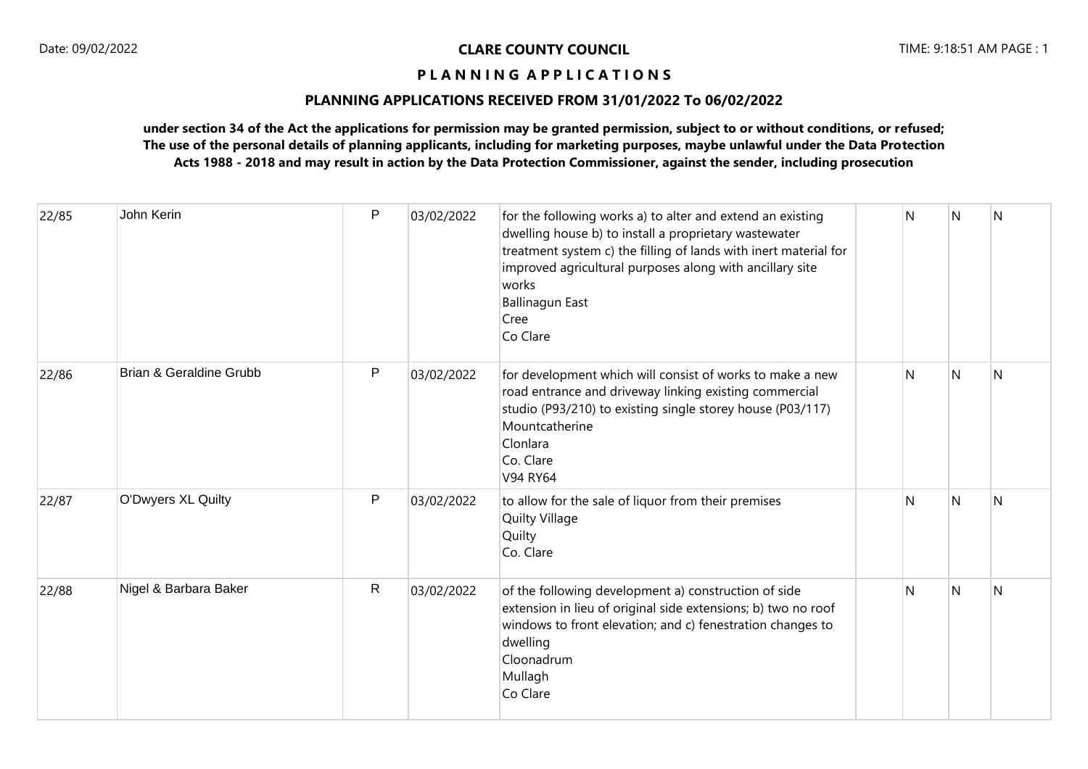# **PLANNING APPLICATIONS RECEIVED FROM 31/01/2022 To 06/02/2022**

| 22/85 | John Kerin                         | P            | 03/02/2022 | for the following works a) to alter and extend an existing<br>dwelling house b) to install a proprietary wastewater<br>treatment system c) the filling of lands with inert material for<br>improved agricultural purposes along with ancillary site<br>works<br><b>Ballinagun East</b><br>Cree<br>Co Clare | N | N | $\overline{\mathsf{N}}$ |
|-------|------------------------------------|--------------|------------|------------------------------------------------------------------------------------------------------------------------------------------------------------------------------------------------------------------------------------------------------------------------------------------------------------|---|---|-------------------------|
| 22/86 | <b>Brian &amp; Geraldine Grubb</b> | $\mathsf{P}$ | 03/02/2022 | for development which will consist of works to make a new<br>road entrance and driveway linking existing commercial<br>studio (P93/210) to existing single storey house (P03/117)<br>Mountcatherine<br>Clonlara<br>Co. Clare<br>V94 RY64                                                                   | N | N | N                       |
| 22/87 | O'Dwyers XL Quilty                 | P            | 03/02/2022 | to allow for the sale of liquor from their premises<br><b>Quilty Village</b><br>Quilty<br>Co. Clare                                                                                                                                                                                                        | N | N | N                       |
| 22/88 | Nigel & Barbara Baker              | $\mathsf{R}$ | 03/02/2022 | of the following development a) construction of side<br>extension in lieu of original side extensions; b) two no roof<br>windows to front elevation; and c) fenestration changes to<br>dwelling<br>Cloonadrum<br>Mullagh<br>Co Clare                                                                       | N | N | N                       |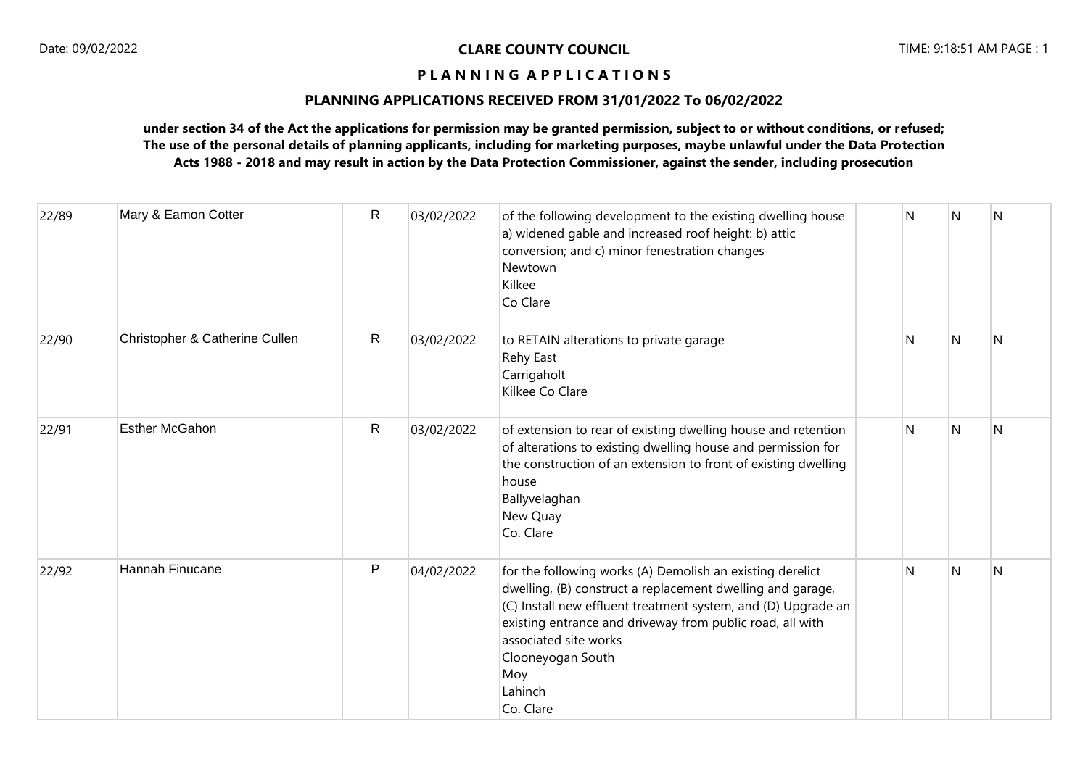# **PLANNING APPLICATIONS RECEIVED FROM 31/01/2022 To 06/02/2022**

| 22/89 | Mary & Eamon Cotter            | R            | 03/02/2022 | of the following development to the existing dwelling house<br>a) widened gable and increased roof height: b) attic<br>conversion; and c) minor fenestration changes<br>Newtown<br>Kilkee<br>Co Clare                                                                                                                              | N | N | N |
|-------|--------------------------------|--------------|------------|------------------------------------------------------------------------------------------------------------------------------------------------------------------------------------------------------------------------------------------------------------------------------------------------------------------------------------|---|---|---|
| 22/90 | Christopher & Catherine Cullen | $\mathsf{R}$ | 03/02/2022 | to RETAIN alterations to private garage<br>Rehy East<br>Carrigaholt<br>Kilkee Co Clare                                                                                                                                                                                                                                             | N | N | N |
| 22/91 | <b>Esther McGahon</b>          | $\mathsf{R}$ | 03/02/2022 | of extension to rear of existing dwelling house and retention<br>of alterations to existing dwelling house and permission for<br>the construction of an extension to front of existing dwelling<br>house<br>Ballyvelaghan<br>New Quay<br>Co. Clare                                                                                 | N | N | N |
| 22/92 | Hannah Finucane                | P            | 04/02/2022 | for the following works (A) Demolish an existing derelict<br>dwelling, (B) construct a replacement dwelling and garage,<br>(C) Install new effluent treatment system, and (D) Upgrade an<br>existing entrance and driveway from public road, all with<br>associated site works<br>Clooneyogan South<br>Moy<br>Lahinch<br>Co. Clare | N | N | N |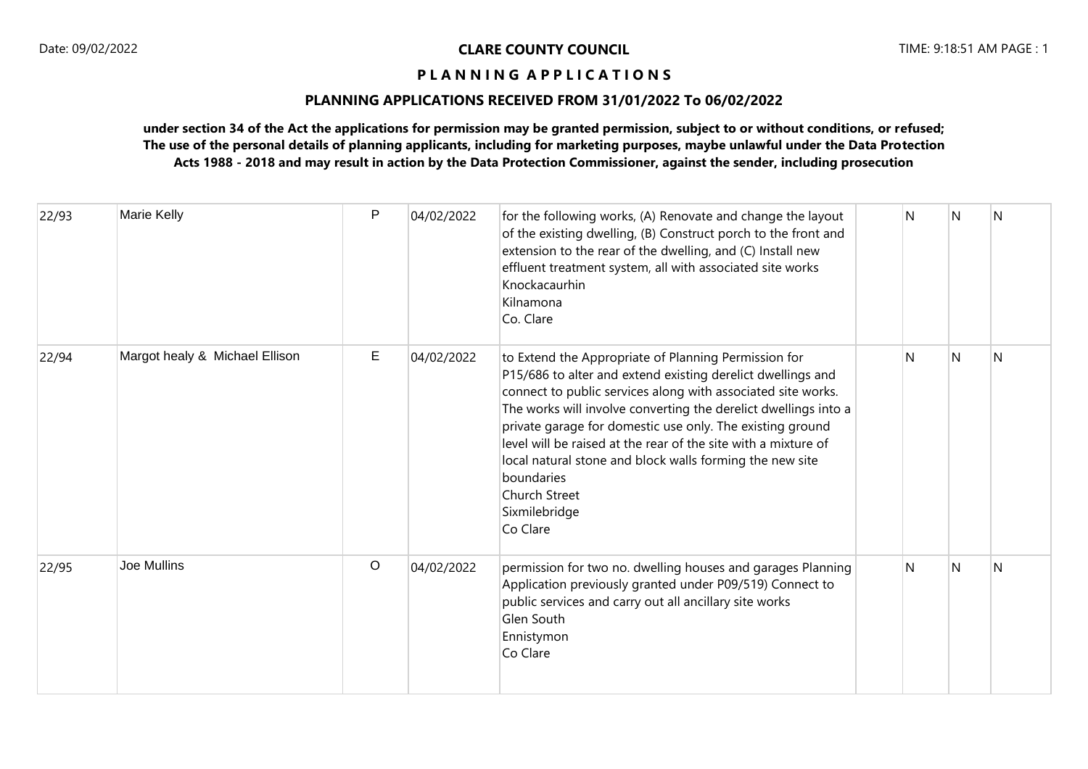# **PLANNING APPLICATIONS RECEIVED FROM 31/01/2022 To 06/02/2022**

| 22/93 | Marie Kelly                    | P       | 04/02/2022 | for the following works, (A) Renovate and change the layout<br>of the existing dwelling, (B) Construct porch to the front and<br>extension to the rear of the dwelling, and (C) Install new<br>effluent treatment system, all with associated site works<br>Knockacaurhin<br>Kilnamona<br>Co. Clare                                                                                                                                                                                                           | N. | IN. | <b>N</b>     |
|-------|--------------------------------|---------|------------|---------------------------------------------------------------------------------------------------------------------------------------------------------------------------------------------------------------------------------------------------------------------------------------------------------------------------------------------------------------------------------------------------------------------------------------------------------------------------------------------------------------|----|-----|--------------|
| 22/94 | Margot healy & Michael Ellison | Е       | 04/02/2022 | to Extend the Appropriate of Planning Permission for<br>P15/686 to alter and extend existing derelict dwellings and<br>connect to public services along with associated site works.<br>The works will involve converting the derelict dwellings into a<br>private garage for domestic use only. The existing ground<br>level will be raised at the rear of the site with a mixture of<br>local natural stone and block walls forming the new site<br>boundaries<br>Church Street<br>Sixmilebridge<br>Co Clare | N  | N   | <sup>N</sup> |
| 22/95 | <b>Joe Mullins</b>             | $\circ$ | 04/02/2022 | permission for two no. dwelling houses and garages Planning<br>Application previously granted under P09/519) Connect to<br>public services and carry out all ancillary site works<br>Glen South<br>Ennistymon<br>Co Clare                                                                                                                                                                                                                                                                                     | N  | N   | .N           |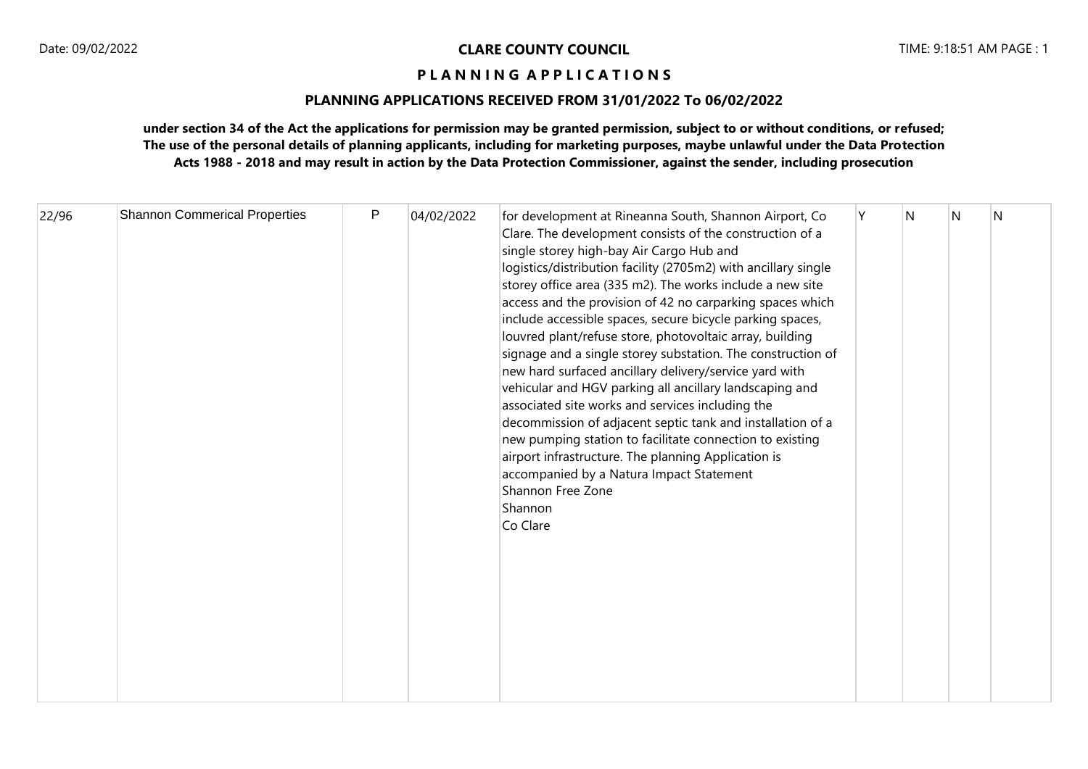# **PLANNING APPLICATIONS RECEIVED FROM 31/01/2022 To 06/02/2022**

| 22/96 | <b>Shannon Commerical Properties</b> | P | 04/02/2022 | for development at Rineanna South, Shannon Airport, Co<br>Clare. The development consists of the construction of a<br>single storey high-bay Air Cargo Hub and<br>logistics/distribution facility (2705m2) with ancillary single<br>storey office area (335 m2). The works include a new site<br>access and the provision of 42 no carparking spaces which<br>include accessible spaces, secure bicycle parking spaces,<br>louvred plant/refuse store, photovoltaic array, building<br>signage and a single storey substation. The construction of<br>new hard surfaced ancillary delivery/service yard with<br>vehicular and HGV parking all ancillary landscaping and<br>associated site works and services including the<br>decommission of adjacent septic tank and installation of a<br>new pumping station to facilitate connection to existing<br>airport infrastructure. The planning Application is<br>accompanied by a Natura Impact Statement<br>Shannon Free Zone<br>Shannon<br>Co Clare |  | N | IN. | N |  |
|-------|--------------------------------------|---|------------|------------------------------------------------------------------------------------------------------------------------------------------------------------------------------------------------------------------------------------------------------------------------------------------------------------------------------------------------------------------------------------------------------------------------------------------------------------------------------------------------------------------------------------------------------------------------------------------------------------------------------------------------------------------------------------------------------------------------------------------------------------------------------------------------------------------------------------------------------------------------------------------------------------------------------------------------------------------------------------------------------|--|---|-----|---|--|
|-------|--------------------------------------|---|------------|------------------------------------------------------------------------------------------------------------------------------------------------------------------------------------------------------------------------------------------------------------------------------------------------------------------------------------------------------------------------------------------------------------------------------------------------------------------------------------------------------------------------------------------------------------------------------------------------------------------------------------------------------------------------------------------------------------------------------------------------------------------------------------------------------------------------------------------------------------------------------------------------------------------------------------------------------------------------------------------------------|--|---|-----|---|--|